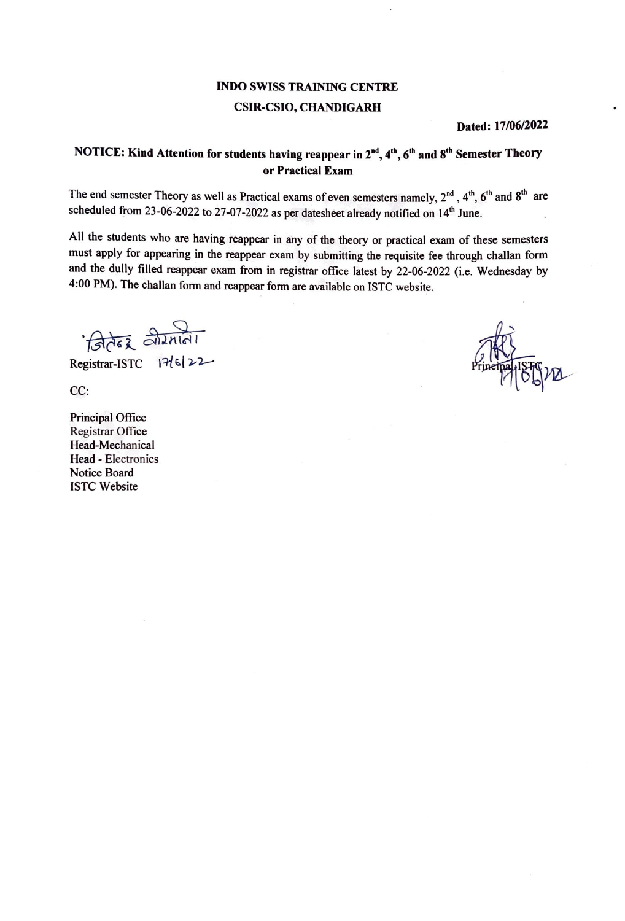### INDO SWISS TRAINING CENTRE CSIR-CSIO, CHANDIGARH

**Dated: 17/06/2022** 

#### **NOTICE: Kind Attention for students having reappear in 2"'\ 4th, 6th and S'h Semester Theory or Practical Exam**

The end semester Theory as well as Practical exams of even semesters namely,  $2^{nd}$ ,  $4^{th}$ ,  $6^{th}$  and  $8^{th}$  are scheduled from 23-06-2022 to 27-07-2022 as per datesheet already notified on 14<sup>th</sup> June.

All the students who are having reappear in any of the theory or practical exam of these semesters must apply for appearing in the reappear exam by submitting the requisite fee through challan form and the dully filled reappear exam from in registrar office latest by 22-06-2022 (i.e. Wednesday by 4:00 PM). The challan form and reappear form are available on ISTC website.

*Briez* alizniai

Registrar-ISTC 17/6/22

CC:

Principal Office Registrar Office Head-Mechanical Head - Electronics Notice Board ISTC Website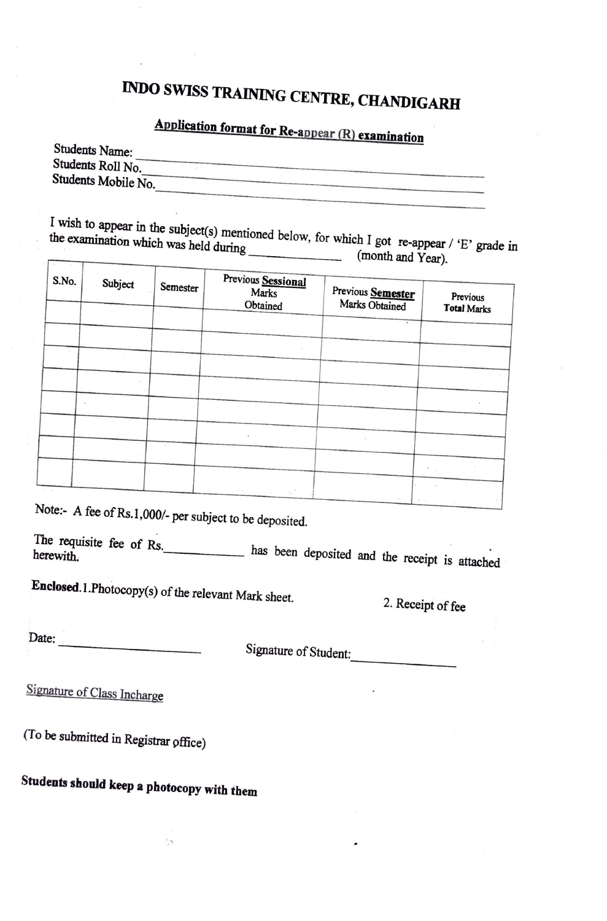# INDO SWISS TRAINING CENTRE, CHANDIGARH

## **Application format for Re-appear** (R) **examination**

| Students Name:      |  |
|---------------------|--|
|                     |  |
| Students Roll No.   |  |
|                     |  |
|                     |  |
| Students Mobile No. |  |
|                     |  |
|                     |  |

the examination which  $\frac{1}{2}$  wish  $\frac{1}{2}$  is appear in the subject(s) mentioned below, for which I got re-appear ( $\frac{1}{2}$ ) the examination which was held during (month and Year).

| S.No. | Subject | Semester | Previous Sessional<br><b>Marks</b><br>Obtained | Previous Semester<br>Marks Obtained | Previous<br><b>Total Marks</b>          |
|-------|---------|----------|------------------------------------------------|-------------------------------------|-----------------------------------------|
|       |         |          |                                                |                                     |                                         |
|       |         |          |                                                |                                     |                                         |
|       |         |          |                                                |                                     |                                         |
|       |         |          |                                                |                                     |                                         |
|       |         |          |                                                |                                     |                                         |
|       |         |          |                                                |                                     |                                         |
|       |         |          | ٠                                              |                                     |                                         |
|       |         |          |                                                |                                     |                                         |
|       |         |          |                                                |                                     | $\frac{1}{2}$ . We can consider the set |
|       |         |          | All stress and the second                      |                                     |                                         |

Note:- A fee of Rs.1,000/- per subject to be deposited.

The requisite fee of Rs. has been deposited and the receipt is attached

Enclosed. 1. Photocopy(s) of the relevant Mark sheet.

2. Receipt of fee

Date: 

Signature of Student:

Signature of Class Incharge

(To be submitted in Registrar pffice)

### **Students should keep a photocopy with them**

 $\ddot{\phantom{a}}$